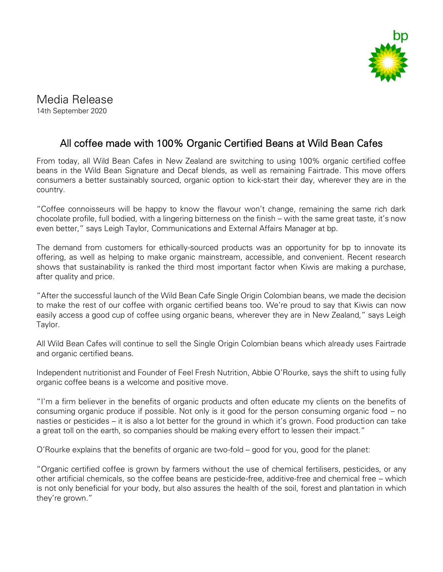

Media Release

14th September 2020

## All coffee made with 100% Organic Certified Beans at Wild Bean Cafes

From today, all Wild Bean Cafes in New Zealand are switching to using 100% organic certified coffee beans in the Wild Bean Signature and Decaf blends, as well as remaining Fairtrade. This move offers consumers a better sustainably sourced, organic option to kick-start their day, wherever they are in the country.

"Coffee connoisseurs will be happy to know the flavour won't change, remaining the same rich dark chocolate profile, full bodied, with a lingering bitterness on the finish – with the same great taste, it's now even better," says Leigh Taylor, Communications and External Affairs Manager at bp.

The demand from customers for ethically-sourced products was an opportunity for bp to innovate its offering, as well as helping to make organic mainstream, accessible, and convenient. Recent research shows that sustainability is ranked the third most important factor when Kiwis are making a purchase, after quality and price.

"After the successful launch of the Wild Bean Cafe Single Origin Colombian beans, we made the decision to make the rest of our coffee with organic certified beans too. We're proud to say that Kiwis can now easily access a good cup of coffee using organic beans, wherever they are in New Zealand," says Leigh Taylor.

All Wild Bean Cafes will continue to sell the Single Origin Colombian beans which already uses Fairtrade and organic certified beans.

Independent nutritionist and Founder of Feel Fresh Nutrition, Abbie O'Rourke, says the shift to using fully organic coffee beans is a welcome and positive move.

"I'm a firm believer in the benefits of organic products and often educate my clients on the benefits of consuming organic produce if possible. Not only is it good for the person consuming organic food – no nasties or pesticides – it is also a lot better for the ground in which it's grown. Food production can take a great toll on the earth, so companies should be making every effort to lessen their impact."

O'Rourke explains that the benefits of organic are two-fold – good for you, good for the planet:

"Organic certified coffee is grown by farmers without the use of chemical fertilisers, pesticides, or any other artificial chemicals, so the coffee beans are pesticide-free, additive-free and chemical free – which is not only beneficial for your body, but also assures the health of the soil, forest and plantation in which they're grown."